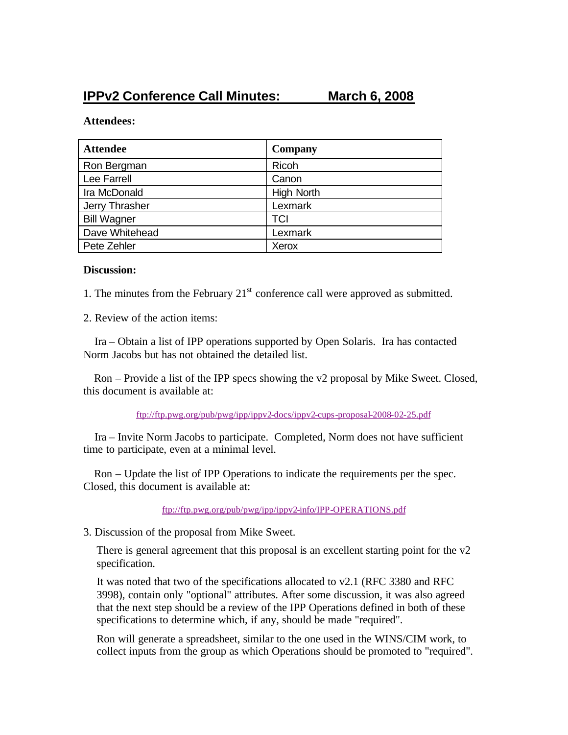## **IPPv2 Conference Call Minutes: March 6, 2008**

## **Attendees:**

| <b>Attendee</b>    | <b>Company</b>    |
|--------------------|-------------------|
| Ron Bergman        | Ricoh             |
| Lee Farrell        | Canon             |
| Ira McDonald       | <b>High North</b> |
| Jerry Thrasher     | Lexmark           |
| <b>Bill Wagner</b> | TCI               |
| Dave Whitehead     | Lexmark           |
| Pete Zehler        | Xerox             |

## **Discussion:**

1. The minutes from the February  $21<sup>st</sup>$  conference call were approved as submitted.

2. Review of the action items:

 Ira – Obtain a list of IPP operations supported by Open Solaris. Ira has contacted Norm Jacobs but has not obtained the detailed list.

 Ron – Provide a list of the IPP specs showing the v2 proposal by Mike Sweet. Closed, this document is available at:

ftp://ftp.pwg.org/pub/pwg/ipp/ippv2-docs/ippv2-cups-proposal-2008-02-25.pdf

 Ira – Invite Norm Jacobs to participate. Completed, Norm does not have sufficient time to participate, even at a minimal level.

 Ron – Update the list of IPP Operations to indicate the requirements per the spec. Closed, this document is available at:

ftp://ftp.pwg.org/pub/pwg/ipp/ippv2-info/IPP-OPERATIONS.pdf

3. Discussion of the proposal from Mike Sweet.

There is general agreement that this proposal is an excellent starting point for the v2 specification.

It was noted that two of the specifications allocated to v2.1 (RFC 3380 and RFC 3998), contain only "optional" attributes. After some discussion, it was also agreed that the next step should be a review of the IPP Operations defined in both of these specifications to determine which, if any, should be made "required".

Ron will generate a spreadsheet, similar to the one used in the WINS/CIM work, to collect inputs from the group as which Operations should be promoted to "required".